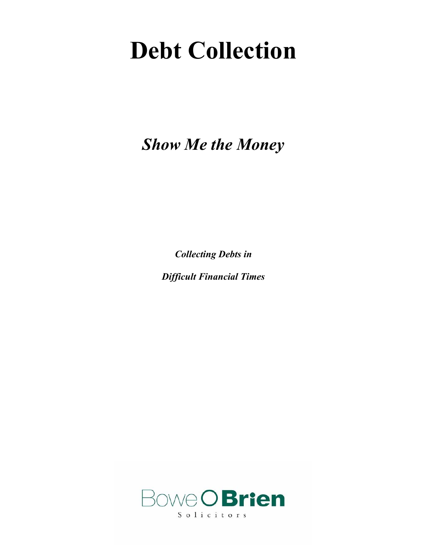# **Debt Collection**

*Show Me the Money* 

*Collecting Debts in* 

*Difficult Financial Times* 

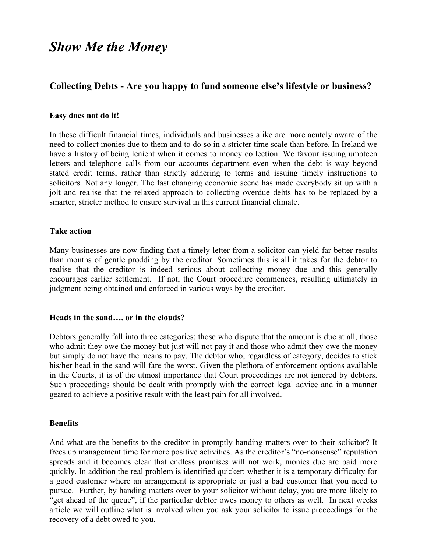# *Show Me the Money*

## **Collecting Debts - Are you happy to fund someone else's lifestyle or business?**

#### **Easy does not do it!**

In these difficult financial times, individuals and businesses alike are more acutely aware of the need to collect monies due to them and to do so in a stricter time scale than before. In Ireland we have a history of being lenient when it comes to money collection. We favour issuing umpteen letters and telephone calls from our accounts department even when the debt is way beyond stated credit terms, rather than strictly adhering to terms and issuing timely instructions to solicitors. Not any longer. The fast changing economic scene has made everybody sit up with a jolt and realise that the relaxed approach to collecting overdue debts has to be replaced by a smarter, stricter method to ensure survival in this current financial climate.

#### **Take action**

Many businesses are now finding that a timely letter from a solicitor can yield far better results than months of gentle prodding by the creditor. Sometimes this is all it takes for the debtor to realise that the creditor is indeed serious about collecting money due and this generally encourages earlier settlement. If not, the Court procedure commences, resulting ultimately in judgment being obtained and enforced in various ways by the creditor.

#### **Heads in the sand…. or in the clouds?**

Debtors generally fall into three categories; those who dispute that the amount is due at all, those who admit they owe the money but just will not pay it and those who admit they owe the money but simply do not have the means to pay. The debtor who, regardless of category, decides to stick his/her head in the sand will fare the worst. Given the plethora of enforcement options available in the Courts, it is of the utmost importance that Court proceedings are not ignored by debtors. Such proceedings should be dealt with promptly with the correct legal advice and in a manner geared to achieve a positive result with the least pain for all involved.

#### **Benefits**

And what are the benefits to the creditor in promptly handing matters over to their solicitor? It frees up management time for more positive activities. As the creditor's "no-nonsense" reputation spreads and it becomes clear that endless promises will not work, monies due are paid more quickly. In addition the real problem is identified quicker: whether it is a temporary difficulty for a good customer where an arrangement is appropriate or just a bad customer that you need to pursue. Further, by handing matters over to your solicitor without delay, you are more likely to "get ahead of the queue", if the particular debtor owes money to others as well. In next weeks article we will outline what is involved when you ask your solicitor to issue proceedings for the recovery of a debt owed to you.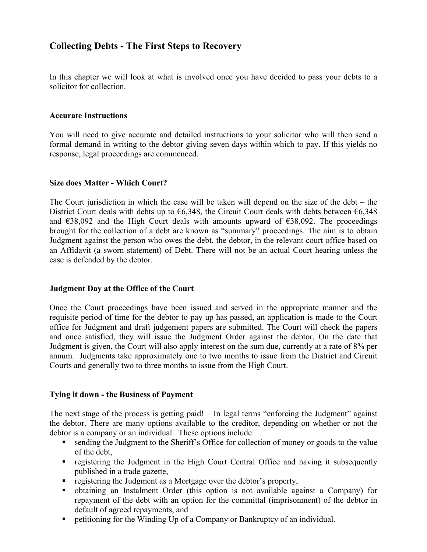# **Collecting Debts - The First Steps to Recovery**

In this chapter we will look at what is involved once you have decided to pass your debts to a solicitor for collection.

#### **Accurate Instructions**

You will need to give accurate and detailed instructions to your solicitor who will then send a formal demand in writing to the debtor giving seven days within which to pay. If this yields no response, legal proceedings are commenced.

#### **Size does Matter - Which Court?**

The Court jurisdiction in which the case will be taken will depend on the size of the debt  $-$  the District Court deals with debts up to  $\epsilon$ 6,348, the Circuit Court deals with debts between  $\epsilon$ 6,348 and  $\epsilon$ 38,092 and the High Court deals with amounts upward of  $\epsilon$ 38,092. The proceedings brought for the collection of a debt are known as "summary" proceedings. The aim is to obtain Judgment against the person who owes the debt, the debtor, in the relevant court office based on an Affidavit (a sworn statement) of Debt. There will not be an actual Court hearing unless the case is defended by the debtor.

#### **Judgment Day at the Office of the Court**

Once the Court proceedings have been issued and served in the appropriate manner and the requisite period of time for the debtor to pay up has passed, an application is made to the Court office for Judgment and draft judgement papers are submitted. The Court will check the papers and once satisfied, they will issue the Judgment Order against the debtor. On the date that Judgment is given, the Court will also apply interest on the sum due, currently at a rate of 8% per annum. Judgments take approximately one to two months to issue from the District and Circuit Courts and generally two to three months to issue from the High Court.

#### **Tying it down - the Business of Payment**

The next stage of the process is getting paid! – In legal terms "enforcing the Judgment" against the debtor. There are many options available to the creditor, depending on whether or not the debtor is a company or an individual. These options include:

- sending the Judgment to the Sheriff's Office for collection of money or goods to the value of the debt,
- registering the Judgment in the High Court Central Office and having it subsequently published in a trade gazette,
- registering the Judgment as a Mortgage over the debtor's property,
- obtaining an Instalment Order (this option is not available against a Company) for repayment of the debt with an option for the committal (imprisonment) of the debtor in default of agreed repayments, and
- petitioning for the Winding Up of a Company or Bankruptcy of an individual.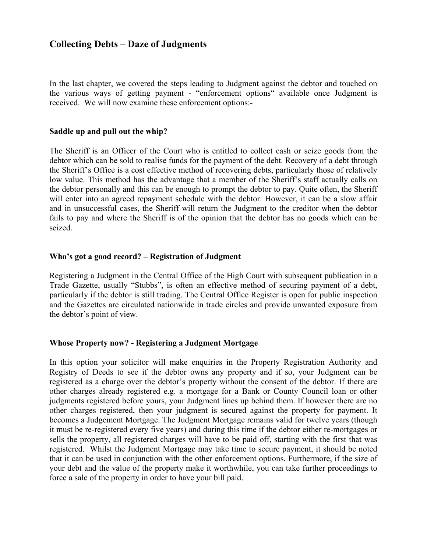## **Collecting Debts – Daze of Judgments**

In the last chapter, we covered the steps leading to Judgment against the debtor and touched on the various ways of getting payment - "enforcement options" available once Judgment is received. We will now examine these enforcement options:-

#### **Saddle up and pull out the whip?**

The Sheriff is an Officer of the Court who is entitled to collect cash or seize goods from the debtor which can be sold to realise funds for the payment of the debt. Recovery of a debt through the Sheriff's Office is a cost effective method of recovering debts, particularly those of relatively low value. This method has the advantage that a member of the Sheriff's staff actually calls on the debtor personally and this can be enough to prompt the debtor to pay. Quite often, the Sheriff will enter into an agreed repayment schedule with the debtor. However, it can be a slow affair and in unsuccessful cases, the Sheriff will return the Judgment to the creditor when the debtor fails to pay and where the Sheriff is of the opinion that the debtor has no goods which can be seized.

#### **Who's got a good record? – Registration of Judgment**

Registering a Judgment in the Central Office of the High Court with subsequent publication in a Trade Gazette, usually "Stubbs", is often an effective method of securing payment of a debt, particularly if the debtor is still trading. The Central Office Register is open for public inspection and the Gazettes are circulated nationwide in trade circles and provide unwanted exposure from the debtor's point of view.

#### **Whose Property now? - Registering a Judgment Mortgage**

In this option your solicitor will make enquiries in the Property Registration Authority and Registry of Deeds to see if the debtor owns any property and if so, your Judgment can be registered as a charge over the debtor's property without the consent of the debtor. If there are other charges already registered e.g. a mortgage for a Bank or County Council loan or other judgments registered before yours, your Judgment lines up behind them. If however there are no other charges registered, then your judgment is secured against the property for payment. It becomes a Judgement Mortgage. The Judgment Mortgage remains valid for twelve years (though it must be re-registered every five years) and during this time if the debtor either re-mortgages or sells the property, all registered charges will have to be paid off, starting with the first that was registered. Whilst the Judgment Mortgage may take time to secure payment, it should be noted that it can be used in conjunction with the other enforcement options. Furthermore, if the size of your debt and the value of the property make it worthwhile, you can take further proceedings to force a sale of the property in order to have your bill paid.